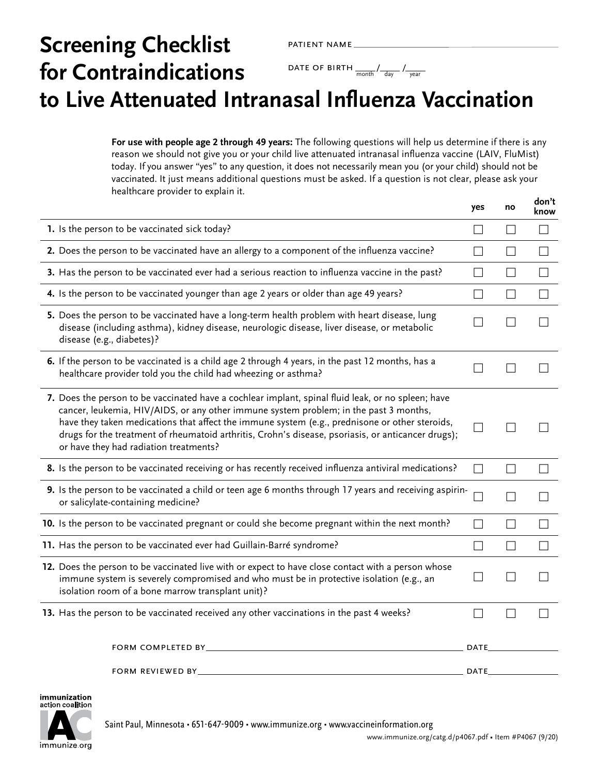# **Screening Checklist for Contraindications to Live Attenuated Intranasal Influenza Vaccination** patient name DATE OF BIRTH  $\frac{1}{\text{month}}$  /  $\frac{1}{\text{day}}$  /  $\frac{1}{\text{year}}$

**For use with people age 2 through 49 years:** The following questions will help us determine if there is any reason we should not give you or your child live attenuated intranasal influenza vaccine (LAIV, FluMist) today. If you answer "yes" to any question, it does not necessarily mean you (or your child) should not be vaccinated. It just means additional questions must be asked. If a question is not clear, please ask your healthcare provider to explain it. **don't**

|                                                                                                                                                                                                                                                                                                                                                                                                                                               | yes               | no                | uvii l<br>know |
|-----------------------------------------------------------------------------------------------------------------------------------------------------------------------------------------------------------------------------------------------------------------------------------------------------------------------------------------------------------------------------------------------------------------------------------------------|-------------------|-------------------|----------------|
| 1. Is the person to be vaccinated sick today?                                                                                                                                                                                                                                                                                                                                                                                                 | $\Box$            | $\vert \ \ \vert$ |                |
| 2. Does the person to be vaccinated have an allergy to a component of the influenza vaccine?                                                                                                                                                                                                                                                                                                                                                  |                   |                   |                |
| 3. Has the person to be vaccinated ever had a serious reaction to influenza vaccine in the past?                                                                                                                                                                                                                                                                                                                                              | $\Box$            | П                 | ×              |
| 4. Is the person to be vaccinated younger than age 2 years or older than age 49 years?                                                                                                                                                                                                                                                                                                                                                        | $\vert \ \ \vert$ | $\perp$           |                |
| 5. Does the person to be vaccinated have a long-term health problem with heart disease, lung<br>disease (including asthma), kidney disease, neurologic disease, liver disease, or metabolic<br>disease (e.g., diabetes)?                                                                                                                                                                                                                      |                   |                   |                |
| 6. If the person to be vaccinated is a child age 2 through 4 years, in the past 12 months, has a<br>healthcare provider told you the child had wheezing or asthma?                                                                                                                                                                                                                                                                            |                   |                   |                |
| 7. Does the person to be vaccinated have a cochlear implant, spinal fluid leak, or no spleen; have<br>cancer, leukemia, HIV/AIDS, or any other immune system problem; in the past 3 months,<br>have they taken medications that affect the immune system (e.g., prednisone or other steroids,<br>drugs for the treatment of rheumatoid arthritis, Crohn's disease, psoriasis, or anticancer drugs);<br>or have they had radiation treatments? |                   |                   |                |
| 8. Is the person to be vaccinated receiving or has recently received influenza antiviral medications?                                                                                                                                                                                                                                                                                                                                         | $\vert \ \ \vert$ | $\Box$            |                |
| 9. Is the person to be vaccinated a child or teen age 6 months through 17 years and receiving aspirin-<br>or salicylate-containing medicine?                                                                                                                                                                                                                                                                                                  |                   |                   |                |
| 10. Is the person to be vaccinated pregnant or could she become pregnant within the next month?                                                                                                                                                                                                                                                                                                                                               | П                 | $\Box$            |                |
| 11. Has the person to be vaccinated ever had Guillain-Barré syndrome?                                                                                                                                                                                                                                                                                                                                                                         | $\Box$            | $\Box$            |                |
| 12. Does the person to be vaccinated live with or expect to have close contact with a person whose<br>immune system is severely compromised and who must be in protective isolation (e.g., an<br>isolation room of a bone marrow transplant unit)?                                                                                                                                                                                            |                   | $\vert \ \ \vert$ |                |
| 13. Has the person to be vaccinated received any other vaccinations in the past 4 weeks?                                                                                                                                                                                                                                                                                                                                                      |                   |                   |                |
| FORM COMPLETED BY_                                                                                                                                                                                                                                                                                                                                                                                                                            | DATE,             |                   |                |
| FORM REVIEWED BY_                                                                                                                                                                                                                                                                                                                                                                                                                             | DATE.             |                   |                |

immunization action coalition

Saint Paul, Minnesota • 651-647-9009 • [www.immunize.org](http://www.immunize.org) • [www.vaccineinformation.org](http://www.vaccineinformation.org)